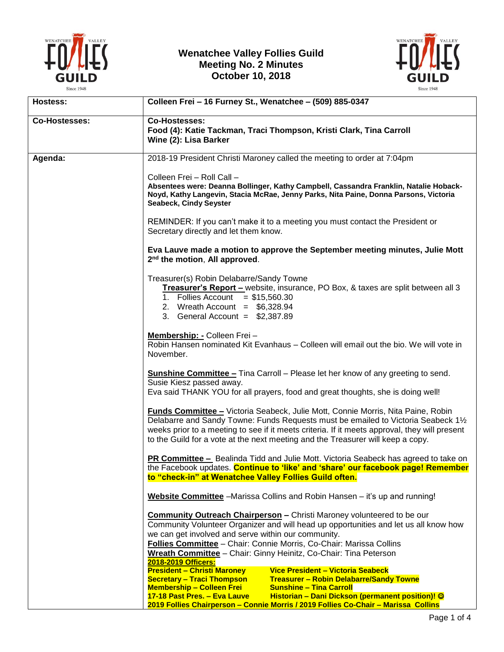

## **Wenatchee Valley Follies Guild Meeting No. 2 Minutes October 10, 2018**



| Hostess:             | Colleen Frei - 16 Furney St., Wenatchee - (509) 885-0347                                                                                                                                                                                                                                                                                                                                                       |
|----------------------|----------------------------------------------------------------------------------------------------------------------------------------------------------------------------------------------------------------------------------------------------------------------------------------------------------------------------------------------------------------------------------------------------------------|
| <b>Co-Hostesses:</b> | <b>Co-Hostesses:</b><br>Food (4): Katie Tackman, Traci Thompson, Kristi Clark, Tina Carroll<br>Wine (2): Lisa Barker                                                                                                                                                                                                                                                                                           |
| Agenda:              | 2018-19 President Christi Maroney called the meeting to order at 7:04pm                                                                                                                                                                                                                                                                                                                                        |
|                      | Colleen Frei - Roll Call -<br>Absentees were: Deanna Bollinger, Kathy Campbell, Cassandra Franklin, Natalie Hoback-<br>Noyd, Kathy Langevin, Stacia McRae, Jenny Parks, Nita Paine, Donna Parsons, Victoria<br>Seabeck, Cindy Seyster                                                                                                                                                                          |
|                      | REMINDER: If you can't make it to a meeting you must contact the President or<br>Secretary directly and let them know.                                                                                                                                                                                                                                                                                         |
|                      | Eva Lauve made a motion to approve the September meeting minutes, Julie Mott<br>2 <sup>nd</sup> the motion, All approved.                                                                                                                                                                                                                                                                                      |
|                      | Treasurer(s) Robin Delabarre/Sandy Towne<br>Treasurer's Report - website, insurance, PO Box, & taxes are split between all 3<br>1. Follies Account = $$15,560.30$<br>2. Wreath Account = $$6,328.94$<br>3. General Account = $$2,387.89$                                                                                                                                                                       |
|                      | Membership: - Colleen Frei -<br>Robin Hansen nominated Kit Evanhaus – Colleen will email out the bio. We will vote in<br>November.                                                                                                                                                                                                                                                                             |
|                      | <b>Sunshine Committee - Tina Carroll - Please let her know of any greeting to send.</b><br>Susie Kiesz passed away.<br>Eva said THANK YOU for all prayers, food and great thoughts, she is doing well!                                                                                                                                                                                                         |
|                      | <b>Funds Committee - Victoria Seabeck, Julie Mott, Connie Morris, Nita Paine, Robin</b><br>Delabarre and Sandy Towne: Funds Requests must be emailed to Victoria Seabeck 11/2<br>weeks prior to a meeting to see if it meets criteria. If it meets approval, they will present<br>to the Guild for a vote at the next meeting and the Treasurer will keep a copy.                                              |
|                      | PR Committee - Bealinda Tidd and Julie Mott. Victoria Seabeck has agreed to take on<br>the Facebook updates. Continue to 'like' and 'share' our facebook page! Remember<br>to "check-in" at Wenatchee Valley Follies Guild often.                                                                                                                                                                              |
|                      | Website Committee - Marissa Collins and Robin Hansen - it's up and running!                                                                                                                                                                                                                                                                                                                                    |
|                      | <b>Community Outreach Chairperson - Christi Maroney volunteered to be our</b><br>Community Volunteer Organizer and will head up opportunities and let us all know how<br>we can get involved and serve within our community.<br>Follies Committee - Chair: Connie Morris, Co-Chair: Marissa Collins<br>Wreath Committee - Chair: Ginny Heinitz, Co-Chair: Tina Peterson<br>2018-2019 Officers:                 |
|                      | <b>President - Christi Maroney</b><br>Vice President - Victoria Seabeck<br><b>Secretary - Traci Thompson</b><br><b>Treasurer - Robin Delabarre/Sandy Towne</b><br><b>Membership - Colleen Frei</b><br><b>Sunshine - Tina Carroll</b><br>Historian - Dani Dickson (permanent position)! ©<br>17-18 Past Pres. - Eva Lauve<br>2019 Follies Chairperson - Connie Morris / 2019 Follies Co-Chair - Marissa Collins |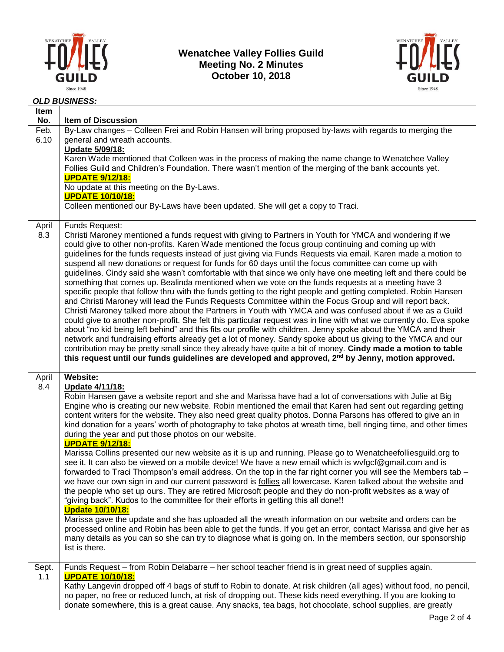

## **Wenatchee Valley Follies Guild Meeting No. 2 Minutes October 10, 2018**



## *OLD BUSINESS:*

| Item<br>No.  | <b>Item of Discussion</b>                                                                                                                                                                                                                                                                                                                                                                                                                                                                                                                                                                                                                                                                                                                                                                                                                                                                                                                                                                                                                                                                                                                                                                                                                                                                                                                                                                                                                                                                                                                                                                                                             |
|--------------|---------------------------------------------------------------------------------------------------------------------------------------------------------------------------------------------------------------------------------------------------------------------------------------------------------------------------------------------------------------------------------------------------------------------------------------------------------------------------------------------------------------------------------------------------------------------------------------------------------------------------------------------------------------------------------------------------------------------------------------------------------------------------------------------------------------------------------------------------------------------------------------------------------------------------------------------------------------------------------------------------------------------------------------------------------------------------------------------------------------------------------------------------------------------------------------------------------------------------------------------------------------------------------------------------------------------------------------------------------------------------------------------------------------------------------------------------------------------------------------------------------------------------------------------------------------------------------------------------------------------------------------|
| Feb.<br>6.10 | By-Law changes - Colleen Frei and Robin Hansen will bring proposed by-laws with regards to merging the<br>general and wreath accounts.<br>Update 5/09/18:<br>Karen Wade mentioned that Colleen was in the process of making the name change to Wenatchee Valley<br>Follies Guild and Children's Foundation. There wasn't mention of the merging of the bank accounts yet.<br><b>UPDATE 9/12/18:</b><br>No update at this meeting on the By-Laws.                                                                                                                                                                                                                                                                                                                                                                                                                                                                                                                                                                                                                                                                                                                                                                                                                                                                                                                                                                                                                                                                                                                                                                                      |
|              | <b>UPDATE 10/10/18:</b><br>Colleen mentioned our By-Laws have been updated. She will get a copy to Traci.                                                                                                                                                                                                                                                                                                                                                                                                                                                                                                                                                                                                                                                                                                                                                                                                                                                                                                                                                                                                                                                                                                                                                                                                                                                                                                                                                                                                                                                                                                                             |
| April<br>8.3 | Funds Request:<br>Christi Maroney mentioned a funds request with giving to Partners in Youth for YMCA and wondering if we<br>could give to other non-profits. Karen Wade mentioned the focus group continuing and coming up with<br>guidelines for the funds requests instead of just giving via Funds Requests via email. Karen made a motion to<br>suspend all new donations or request for funds for 60 days until the focus committee can come up with<br>guidelines. Cindy said she wasn't comfortable with that since we only have one meeting left and there could be<br>something that comes up. Bealinda mentioned when we vote on the funds requests at a meeting have 3<br>specific people that follow thru with the funds getting to the right people and getting completed. Robin Hansen<br>and Christi Maroney will lead the Funds Requests Committee within the Focus Group and will report back.<br>Christi Maroney talked more about the Partners in Youth with YMCA and was confused about if we as a Guild<br>could give to another non-profit. She felt this particular request was in line with what we currently do. Eva spoke<br>about "no kid being left behind" and this fits our profile with children. Jenny spoke about the YMCA and their<br>network and fundraising efforts already get a lot of money. Sandy spoke about us giving to the YMCA and our<br>contribution may be pretty small since they already have quite a bit of money. Cindy made a motion to table<br>this request until our funds guidelines are developed and approved, 2 <sup>nd</sup> by Jenny, motion approved.                |
| April        | <b>Website:</b>                                                                                                                                                                                                                                                                                                                                                                                                                                                                                                                                                                                                                                                                                                                                                                                                                                                                                                                                                                                                                                                                                                                                                                                                                                                                                                                                                                                                                                                                                                                                                                                                                       |
| 8.4          | Update 4/11/18:<br>Robin Hansen gave a website report and she and Marissa have had a lot of conversations with Julie at Big<br>Engine who is creating our new website. Robin mentioned the email that Karen had sent out regarding getting<br>content writers for the website. They also need great quality photos. Donna Parsons has offered to give an in<br>kind donation for a years' worth of photography to take photos at wreath time, bell ringing time, and other times<br>during the year and put those photos on our website.<br><b>UPDATE 9/12/18:</b><br>Marissa Collins presented our new website as it is up and running. Please go to Wenatcheefolliesguild.org to<br>see it. It can also be viewed on a mobile device! We have a new email which is wvfgcf@gmail.com and is<br>forwarded to Traci Thompson's email address. On the top in the far right corner you will see the Members tab -<br>we have our own sign in and our current password is follies all lowercase. Karen talked about the website and<br>the people who set up ours. They are retired Microsoft people and they do non-profit websites as a way of<br>"giving back". Kudos to the committee for their efforts in getting this all done!!<br><u><b>Update 10/10/18:</b></u><br>Marissa gave the update and she has uploaded all the wreath information on our website and orders can be<br>processed online and Robin has been able to get the funds. If you get an error, contact Marissa and give her as<br>many details as you can so she can try to diagnose what is going on. In the members section, our sponsorship<br>list is there. |
| Sept.<br>1.1 | Funds Request - from Robin Delabarre - her school teacher friend is in great need of supplies again.<br><b>UPDATE 10/10/18:</b>                                                                                                                                                                                                                                                                                                                                                                                                                                                                                                                                                                                                                                                                                                                                                                                                                                                                                                                                                                                                                                                                                                                                                                                                                                                                                                                                                                                                                                                                                                       |
|              | Kathy Langevin dropped off 4 bags of stuff to Robin to donate. At risk children (all ages) without food, no pencil,<br>no paper, no free or reduced lunch, at risk of dropping out. These kids need everything. If you are looking to<br>donate somewhere, this is a great cause. Any snacks, tea bags, hot chocolate, school supplies, are greatly                                                                                                                                                                                                                                                                                                                                                                                                                                                                                                                                                                                                                                                                                                                                                                                                                                                                                                                                                                                                                                                                                                                                                                                                                                                                                   |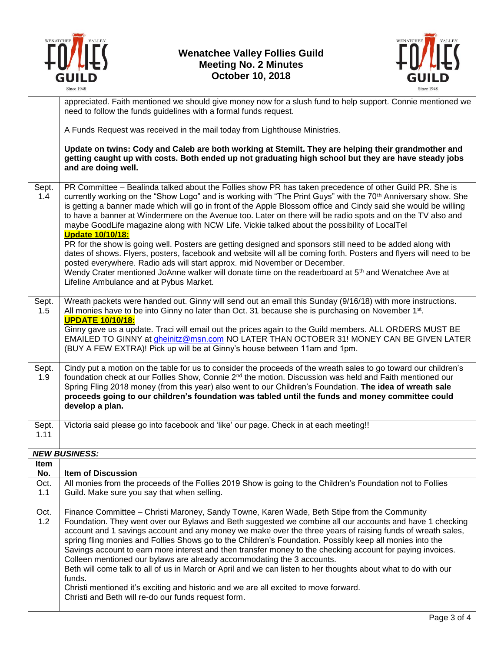



|               | appreciated. Faith mentioned we should give money now for a slush fund to help support. Connie mentioned we<br>need to follow the funds guidelines with a formal funds request.                                                                                                                                                                                                                                                                                                                                                                                                                                                                                                                                                                                                                                                                                                                                                                                                                                                                                                   |
|---------------|-----------------------------------------------------------------------------------------------------------------------------------------------------------------------------------------------------------------------------------------------------------------------------------------------------------------------------------------------------------------------------------------------------------------------------------------------------------------------------------------------------------------------------------------------------------------------------------------------------------------------------------------------------------------------------------------------------------------------------------------------------------------------------------------------------------------------------------------------------------------------------------------------------------------------------------------------------------------------------------------------------------------------------------------------------------------------------------|
|               | A Funds Request was received in the mail today from Lighthouse Ministries.                                                                                                                                                                                                                                                                                                                                                                                                                                                                                                                                                                                                                                                                                                                                                                                                                                                                                                                                                                                                        |
|               | Update on twins: Cody and Caleb are both working at Stemilt. They are helping their grandmother and<br>getting caught up with costs. Both ended up not graduating high school but they are have steady jobs<br>and are doing well.                                                                                                                                                                                                                                                                                                                                                                                                                                                                                                                                                                                                                                                                                                                                                                                                                                                |
| Sept.<br>1.4  | PR Committee - Bealinda talked about the Follies show PR has taken precedence of other Guild PR. She is<br>currently working on the "Show Logo" and is working with "The Print Guys" with the 70 <sup>th</sup> Anniversary show. She<br>is getting a banner made which will go in front of the Apple Blossom office and Cindy said she would be willing<br>to have a banner at Windermere on the Avenue too. Later on there will be radio spots and on the TV also and<br>maybe GoodLife magazine along with NCW Life. Vickie talked about the possibility of LocalTel<br><b>Update 10/10/18:</b><br>PR for the show is going well. Posters are getting designed and sponsors still need to be added along with<br>dates of shows. Flyers, posters, facebook and website will all be coming forth. Posters and flyers will need to be<br>posted everywhere. Radio ads will start approx. mid November or December.<br>Wendy Crater mentioned JoAnne walker will donate time on the readerboard at 5 <sup>th</sup> and Wenatchee Ave at<br>Lifeline Ambulance and at Pybus Market. |
| Sept.<br>1.5  | Wreath packets were handed out. Ginny will send out an email this Sunday (9/16/18) with more instructions.<br>All monies have to be into Ginny no later than Oct. 31 because she is purchasing on November 1st.<br><b>UPDATE 10/10/18:</b><br>Ginny gave us a update. Traci will email out the prices again to the Guild members. ALL ORDERS MUST BE<br>EMAILED TO GINNY at gheinitz@msn.com NO LATER THAN OCTOBER 31! MONEY CAN BE GIVEN LATER<br>(BUY A FEW EXTRA)! Pick up will be at Ginny's house between 11am and 1pm.                                                                                                                                                                                                                                                                                                                                                                                                                                                                                                                                                      |
| Sept.<br>1.9  | Cindy put a motion on the table for us to consider the proceeds of the wreath sales to go toward our children's<br>foundation check at our Follies Show, Connie 2 <sup>nd</sup> the motion. Discussion was held and Faith mentioned our<br>Spring Fling 2018 money (from this year) also went to our Children's Foundation. The idea of wreath sale<br>proceeds going to our children's foundation was tabled until the funds and money committee could<br>develop a plan.                                                                                                                                                                                                                                                                                                                                                                                                                                                                                                                                                                                                        |
| Sept.<br>1.11 | Victoria said please go into facebook and 'like' our page. Check in at each meeting!!                                                                                                                                                                                                                                                                                                                                                                                                                                                                                                                                                                                                                                                                                                                                                                                                                                                                                                                                                                                             |
|               | <b>NEW BUSINESS:</b>                                                                                                                                                                                                                                                                                                                                                                                                                                                                                                                                                                                                                                                                                                                                                                                                                                                                                                                                                                                                                                                              |
| Item<br>No.   | <b>Item of Discussion</b>                                                                                                                                                                                                                                                                                                                                                                                                                                                                                                                                                                                                                                                                                                                                                                                                                                                                                                                                                                                                                                                         |
| Oct.<br>1.1   | All monies from the proceeds of the Follies 2019 Show is going to the Children's Foundation not to Follies<br>Guild. Make sure you say that when selling.                                                                                                                                                                                                                                                                                                                                                                                                                                                                                                                                                                                                                                                                                                                                                                                                                                                                                                                         |
| Oct.<br>1.2   | Finance Committee - Christi Maroney, Sandy Towne, Karen Wade, Beth Stipe from the Community<br>Foundation. They went over our Bylaws and Beth suggested we combine all our accounts and have 1 checking<br>account and 1 savings account and any money we make over the three years of raising funds of wreath sales,<br>spring fling monies and Follies Shows go to the Children's Foundation. Possibly keep all monies into the<br>Savings account to earn more interest and then transfer money to the checking account for paying invoices.<br>Colleen mentioned our bylaws are already accommodating the 3 accounts.<br>Beth will come talk to all of us in March or April and we can listen to her thoughts about what to do with our<br>funds.<br>Christi mentioned it's exciting and historic and we are all excited to move forward.<br>Christi and Beth will re-do our funds request form.                                                                                                                                                                              |